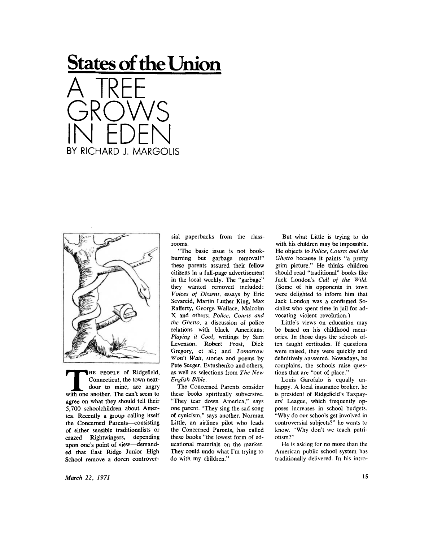## **States of the Union**  A IREE GROWS IN EDEN

BY RICHARD J. MARGOLIS



THE PEOPLE of Ridgefield,<br>Connecticut, the town next-<br>door to mine, are angry<br>with one another. The can't seem to HE PEOPLE of Ridgefield, Connecticut, the town nextdoor to mine, are angry agree on what they should tell their 5,700 schoolchildren about America. Recently a group calling itself the Concerned Parents—consisting of either sensible traditionalists or crazed Rightwingers, depending upon one's point of view—demanded that East Ridge Junior High School remove a dozen controversial paperbacks from the classrooms.

"The basic issue is not bookburning but garbage removal!" these parents assured their fellow citizens in a full-page advertisement in the local weekly. The "garbage" they wanted removed included: *Voices of Dissent,* essays by Eric Sevareid, Martin Luther King, Max Rafferty, George Wallace, Malcolm X and others; *Police, Courts and the Ghetto,* a discussion of police relations with black Americans; *Playing it Cool,* writings by Sam Levenson, Robert Frost, Dick Gregory, et al.; and *Tomorrow Won't Wait,* stories and poems by Pete Seeger, Evtushenko and others, as well as selections from *The New English Bible.* 

The Concerned Parents consider these books spiritually subversive. "They tear down America," says one parent. "They sing the sad song of cynicism," says another. Norman Little, an airlines pilot who leads the Concerned Parents, has called these books "the lowest form of educational materials on the market. They could undo what I'm trying to do with my children."

But what Little is trying to do with his children may be impossible. He objects to *Police, Courts and the Ghetto* because it paints "a pretty grim picture." He thinks children should read "traditional" books like Jack London's *Call of the Wild.*  (Some of his opponents in town were delighted to inform him that Jack London was a confirmed Socialist who spent time in jail for advocating violent revolution.)

Little's views on education may be based on his childhood memories. In those days the schools often taught certitudes. If questions were raised, they were quickly and definitively answered. Nowadays, he complains, the schools raise questions that are "out of place."

Louis Garofalo is equally unhappy. A local insurance broker, he is president of Ridgefield's Taxpayers' League, which frequently opposes increases in school budgets. "Why do our schools get involved in controversial subjects?" he wants to know. "Why don't we teach patriotism?"

He is asking for no more than the American public school system has traditionally delivered. In his intro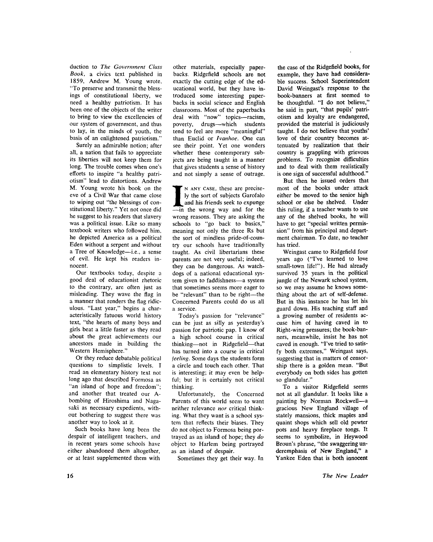duction to *The Government Class Book,* a civics text published in 1859, Andrew M. Young wrote, "To preserve and transmit the blessings of constitutional liberty, we need a healthy patriotism. It has been one of the objects of the writer to bring to view the excellencies of our system of government, and thus to lay, in the minds of youth, the basis of an enlightened patriotism."

Surely an admirable notion; after all, a nation that fails to appreciate its liberties will not keep them for long. The trouble comes when one's efforts to inspire "a healthy patriotism" lead to distortions. Andrew M. Young wrote his book on the eve of a Civil War that came close to wiping out "the blessings of constitutional liberty." Yet not once did he suggest to his readers that slavery was a political issue. Like so many textbook writers who followed him, he depicted America as a political Eden without a serpent and without a Tree of Knowledge—i.e., a sense of evil. He kept his readers innocent.

Our textbooks today, despite a good deal of educationist rhetoric to the contrary, are often just as misleading. They wave the flag in a manner that renders the flag ridiculous. "Last year," begins a characteristically fatuous world history text, "the hearts of many boys and girls beat a little faster as they read about the great achievements our ancestors made in building the Western Hemisphere."

Or they reduce debatable political questions to simplistic levels. I read an elementary history text not long ago that described Formosa as "an island of hope and freedom"; and another that treated our Abombing of Hiroshima and Nagasaki as necessary expedients, without bothering to suggest there was another way to look at it.

Such books have long been the despair of intelligent teachers, and in recent years some schools have either abandoned them altogether, or at least supplemented them with

other materials, especially paperbacks. Ridgefield schools are not exactly the cutting edge of the educational world, but they have introduced some interesting paperbacks in social science and English classrooms. Most of the paperbacks deal with "now" topics—racism, poverty, drugs—which students tend to feel are more "meaningful" than Euclid or *Ivanhoe.* One can see their point. Yet one wonders whether these contemporary subjects are being taught in a manner that gives students a sense of history and not simply a sense of outrage.

IN ANY CASE, these are precise-<br>ly the sort of subjects Garofalo<br>and his friends seek to expunge<br>—in the wrong way and for the N ANY CASE, these are precisely the sort of subjects Garofalo and his friends seek to expunge wrong reasons. They are asking the schools to "go back to basics," meaning not only the three Rs but the sort of mindless pride-of-country our schools have traditionally taught. As civil libertarians these parents are not very useful; indeed, they can be dangerous. As watchdogs of a national educational system given to faddishness—a system that sometimes seems more eager to be "relevant" than to be right—the Concerned Parents could do us all a service.

Today's passion for "relevance" can be just as silly as yesterday's passion for patriotic pap. I know of a high school course in critical thinking—not in Ridgefield—that has turned into a course in critical *feeling.* Some days the students form a circle and touch each other. That is interesting; it may even be helpful; but it is certainly not critical thinking.

Unfortunately, the Concerned Parents of this world seem to want neither relevance *nor* critical thinking. What they want is a school system that reflects their biases. They do not object to Formosa being portrayed as an island of hope; they *do*  object to Harlem being portrayed as an island of despair.

Sometimes they get their way. In

the case of the Ridgefield books, for example, they have had considerable success. School Superintendent David Weingast's response to the book-banners at first seemed to be thoughtful. "I do not believe," he said in part, "that pupils' patriotism and loyalty are endangered, provided the material is judiciously taught. I do not believe that youths' love of their country becomes attenuated by realization that their country is grappling with grievous problems. To recognize difficulties and to deal with them realistically is one sign of successful adulthood."

But then he issued orders that most of the books under attack either be moved to the senior high school or else be shelved. Under this ruling, if a teacher wants to use any of the shelved books, he will have to get "special written permission" from his principal and department chairman. To date, no teacher has tried.

Weingast came to Ridgefield four years ago ("I've learned to love small-town life!"). He had already survived 35 years in the political jungle of the Newark school system, so we may assume he knows something about the art of self-defense. But in this instance he has let his guard down. His teaching staff and a growing number of residents accuse him of having caved in to Right-wing pressures; the book-banners, meanwhile, insist he has not caved in enough. "I've tried to satisfy both extremes," Weingast says, suggesting that in matters of censorship there is a golden mean. "But everybody on both sides has gotten so glandular."

To a visitor Ridgefield seems not at all glandular. It looks like a painting by Norman Rockwell—a gracious New England village of stately mansions, thick maples and quaint shops which sell old pewter pots and heavy fireplace tongs. It seems to symbolize, in Heywood Broun's phrase, "the swaggering underemphasis of New England," a Yankee Eden that is both innocent